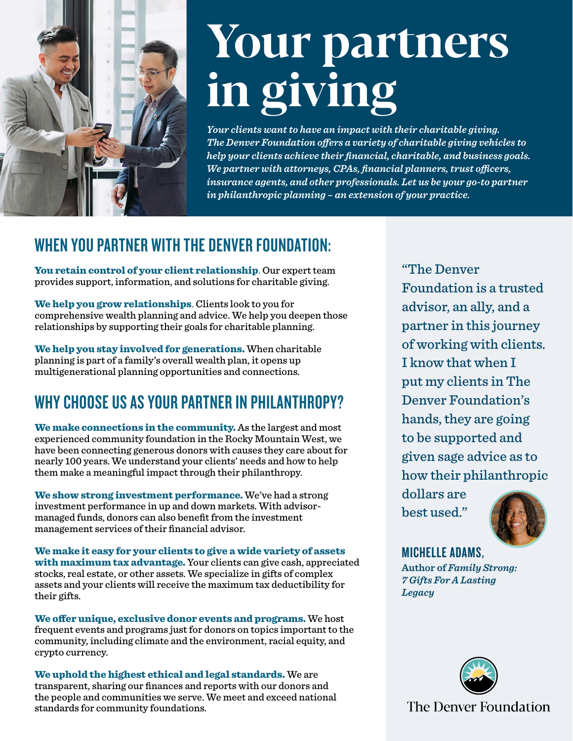

# Your partners in giving

*Your clients want to have an impact with their charitable giving. The Denver Foundation offers a variety of charitable giving vehicles to help your clients achieve their financial, charitable, and business goals. We partner with attorneys, CPAs, financial planners, trust officers, insurance agents, and other professionals. Let us be your go-to partner in philanthropic planning – an extension of your practice.* 

## WHEN YOU PARTNER WITH THE DENVER FOUNDATION:

You retain control of your client relationship. Our expert team provides support, information, and solutions for charitable giving.

We help you grow relationships. Clients look to you for comprehensive wealth planning and advice. We help you deepen those relationships by supporting their goals for charitable planning.

We help you stay involved for generations. When charitable planning is part of a family's overall wealth plan, it opens up multigenerational planning opportunities and connections.

## WHY CHOOSE US AS YOUR PARTNER IN PHILANTHROPY?

We make connections in the community. As the largest and most experienced community foundation in the Rocky Mountain West, we have been connecting generous donors with causes they care about for nearly 100 years. We understand your clients' needs and how to help them make a meaningful impact through their philanthropy.

We show strong investment performance. We've had a strong investment performance in up and down markets. With advisormanaged funds, donors can also benefit from the investment management services of their financial advisor.

We make it easy for your clients to give a wide variety of assets with maximum tax advantage. Your clients can give cash, appreciated stocks, real estate, or other assets. We specialize in gifts of complex assets and your clients will receive the maximum tax deductibility for their gifts.

We offer unique, exclusive donor events and programs. We host frequent events and programs just for donors on topics important to the community, including climate and the environment, racial equity, and crypto currency.

We uphold the highest ethical and legal standards. We are transparent, sharing our finances and reports with our donors and the people and communities we serve. We meet and exceed national standards for community foundations.

"The Denver Foundation is a trusted advisor, an ally, and a partner in this journey of working with clients. I know that when I put my clients in The Denver Foundation's hands, they are going to be supported and given sage advice as to how their philanthropic

dollars are best used."



MICHELLE ADAMS,

**Author of** *Family Strong: 7 Gifts For A Lasting Legacy*



The Denver Foundation